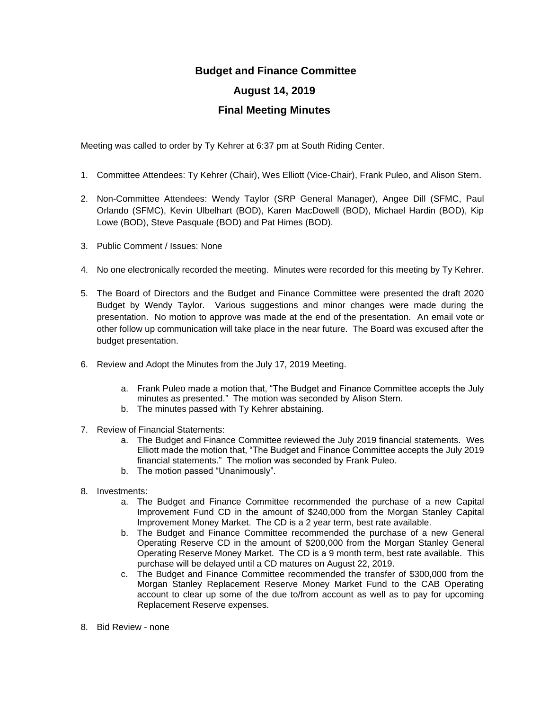## **Budget and Finance Committee**

## **August 14, 2019**

## **Final Meeting Minutes**

Meeting was called to order by Ty Kehrer at 6:37 pm at South Riding Center.

- 1. Committee Attendees: Ty Kehrer (Chair), Wes Elliott (Vice-Chair), Frank Puleo, and Alison Stern.
- 2. Non-Committee Attendees: Wendy Taylor (SRP General Manager), Angee Dill (SFMC, Paul Orlando (SFMC), Kevin Ulbelhart (BOD), Karen MacDowell (BOD), Michael Hardin (BOD), Kip Lowe (BOD), Steve Pasquale (BOD) and Pat Himes (BOD).
- 3. Public Comment / Issues: None
- 4. No one electronically recorded the meeting. Minutes were recorded for this meeting by Ty Kehrer.
- 5. The Board of Directors and the Budget and Finance Committee were presented the draft 2020 Budget by Wendy Taylor. Various suggestions and minor changes were made during the presentation. No motion to approve was made at the end of the presentation. An email vote or other follow up communication will take place in the near future. The Board was excused after the budget presentation.
- 6. Review and Adopt the Minutes from the July 17, 2019 Meeting.
	- a. Frank Puleo made a motion that, "The Budget and Finance Committee accepts the July minutes as presented." The motion was seconded by Alison Stern.
	- b. The minutes passed with Ty Kehrer abstaining.
- 7. Review of Financial Statements:
	- a. The Budget and Finance Committee reviewed the July 2019 financial statements. Wes Elliott made the motion that, "The Budget and Finance Committee accepts the July 2019 financial statements." The motion was seconded by Frank Puleo.
	- b. The motion passed "Unanimously".
- 8. Investments:
	- a. The Budget and Finance Committee recommended the purchase of a new Capital Improvement Fund CD in the amount of \$240,000 from the Morgan Stanley Capital Improvement Money Market. The CD is a 2 year term, best rate available.
	- b. The Budget and Finance Committee recommended the purchase of a new General Operating Reserve CD in the amount of \$200,000 from the Morgan Stanley General Operating Reserve Money Market. The CD is a 9 month term, best rate available. This purchase will be delayed until a CD matures on August 22, 2019.
	- c. The Budget and Finance Committee recommended the transfer of \$300,000 from the Morgan Stanley Replacement Reserve Money Market Fund to the CAB Operating account to clear up some of the due to/from account as well as to pay for upcoming Replacement Reserve expenses.
- 8. Bid Review none